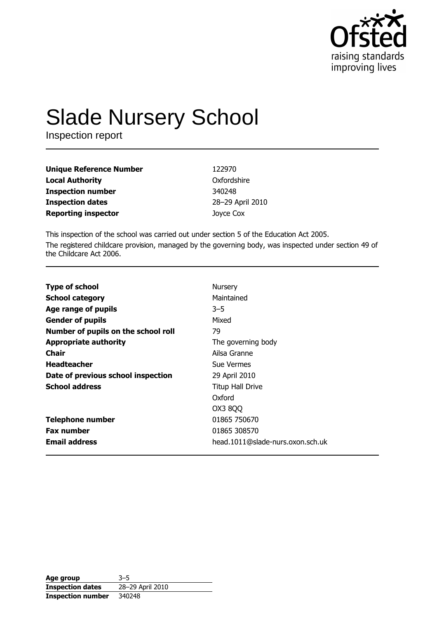

# **Slade Nursery School**

Inspection report

| Unique Reference Number    | 122970           |
|----------------------------|------------------|
| Local Authority            | Oxfordshire      |
| Inspection number          | 340248           |
| <b>Inspection dates</b>    | 28-29 April 2010 |
| <b>Reporting inspector</b> | Joyce Cox        |

This inspection of the school was carried out under section 5 of the Education Act 2005. The registered childcare provision, managed by the governing body, was inspected under section 49 of the Childcare Act 2006.

| <b>Type of school</b>               | Nursery                          |
|-------------------------------------|----------------------------------|
| <b>School category</b>              | Maintained                       |
| Age range of pupils                 | $3 - 5$                          |
| <b>Gender of pupils</b>             | Mixed                            |
| Number of pupils on the school roll | 79                               |
| <b>Appropriate authority</b>        | The governing body               |
| <b>Chair</b>                        | Ailsa Granne                     |
| <b>Headteacher</b>                  | Sue Vermes                       |
| Date of previous school inspection  | 29 April 2010                    |
| <b>School address</b>               | <b>Titup Hall Drive</b>          |
|                                     | Oxford                           |
|                                     | OX3 8QQ                          |
| <b>Telephone number</b>             | 01865 750670                     |
| <b>Fax number</b>                   | 01865 308570                     |
| <b>Email address</b>                | head.1011@slade-nurs.oxon.sch.uk |

| Age group                | $3 - 5$          |
|--------------------------|------------------|
| <b>Inspection dates</b>  | 28-29 April 2010 |
| <b>Inspection number</b> | 340248           |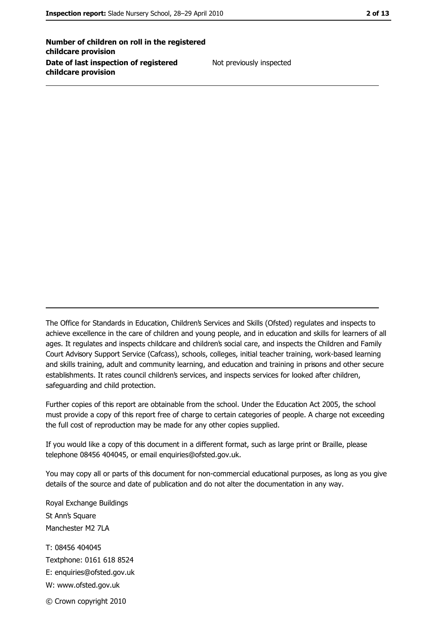Number of children on roll in the registered childcare provision Date of last inspection of registered childcare provision

Not previously inspected

The Office for Standards in Education, Children's Services and Skills (Ofsted) regulates and inspects to achieve excellence in the care of children and young people, and in education and skills for learners of all ages. It regulates and inspects childcare and children's social care, and inspects the Children and Family Court Advisory Support Service (Cafcass), schools, colleges, initial teacher training, work-based learning and skills training, adult and community learning, and education and training in prisons and other secure establishments. It rates council children's services, and inspects services for looked after children, safequarding and child protection.

Further copies of this report are obtainable from the school. Under the Education Act 2005, the school must provide a copy of this report free of charge to certain categories of people. A charge not exceeding the full cost of reproduction may be made for any other copies supplied.

If you would like a copy of this document in a different format, such as large print or Braille, please telephone 08456 404045, or email enquiries@ofsted.gov.uk.

You may copy all or parts of this document for non-commercial educational purposes, as long as you give details of the source and date of publication and do not alter the documentation in any way.

Royal Exchange Buildings St Ann's Square Manchester M2 7LA T: 08456 404045 Textphone: 0161 618 8524 E: enquiries@ofsted.gov.uk W: www.ofsted.gov.uk © Crown copyright 2010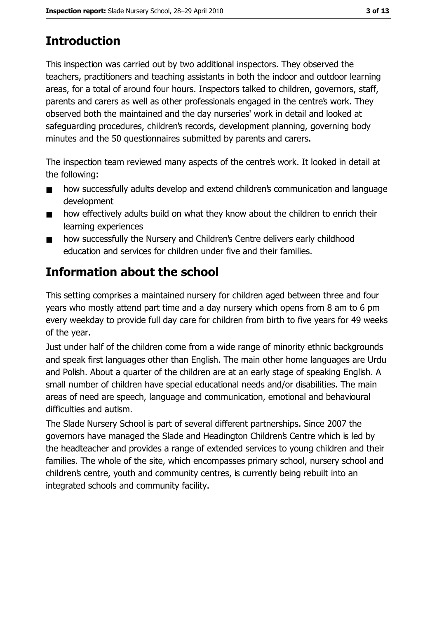# **Introduction**

This inspection was carried out by two additional inspectors. They observed the teachers, practitioners and teaching assistants in both the indoor and outdoor learning areas, for a total of around four hours. Inspectors talked to children, governors, staff, parents and carers as well as other professionals engaged in the centre's work. They observed both the maintained and the day nurseries' work in detail and looked at safeguarding procedures, children's records, development planning, governing body minutes and the 50 questionnaires submitted by parents and carers.

The inspection team reviewed many aspects of the centre's work. It looked in detail at the following:

- how successfully adults develop and extend children's communication and language  $\blacksquare$ development
- how effectively adults build on what they know about the children to enrich their  $\blacksquare$ learning experiences
- how successfully the Nursery and Children's Centre delivers early childhood  $\blacksquare$ education and services for children under five and their families.

# Information about the school

This setting comprises a maintained nursery for children aged between three and four years who mostly attend part time and a day nursery which opens from 8 am to 6 pm every weekday to provide full day care for children from birth to five years for 49 weeks of the year.

Just under half of the children come from a wide range of minority ethnic backgrounds and speak first languages other than English. The main other home languages are Urdu and Polish. About a quarter of the children are at an early stage of speaking English. A small number of children have special educational needs and/or disabilities. The main areas of need are speech, language and communication, emotional and behavioural difficulties and autism.

The Slade Nursery School is part of several different partnerships. Since 2007 the governors have managed the Slade and Headington Children's Centre which is led by the headteacher and provides a range of extended services to young children and their families. The whole of the site, which encompasses primary school, nursery school and children's centre, youth and community centres, is currently being rebuilt into an integrated schools and community facility.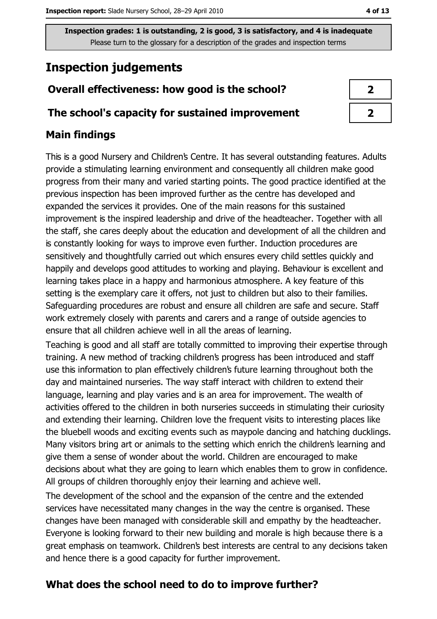Inspection grades: 1 is outstanding, 2 is good, 3 is satisfactory, and 4 is inadequate Please turn to the glossary for a description of the grades and inspection terms

# **Inspection judgements**

## Overall effectiveness: how good is the school?

#### The school's capacity for sustained improvement

## **Main findings**

This is a good Nursery and Children's Centre. It has several outstanding features. Adults provide a stimulating learning environment and consequently all children make good progress from their many and varied starting points. The good practice identified at the previous inspection has been improved further as the centre has developed and expanded the services it provides. One of the main reasons for this sustained improvement is the inspired leadership and drive of the headteacher. Together with all the staff, she cares deeply about the education and development of all the children and is constantly looking for ways to improve even further. Induction procedures are sensitively and thoughtfully carried out which ensures every child settles quickly and happily and develops good attitudes to working and playing. Behaviour is excellent and learning takes place in a happy and harmonious atmosphere. A key feature of this setting is the exemplary care it offers, not just to children but also to their families. Safeguarding procedures are robust and ensure all children are safe and secure. Staff work extremely closely with parents and carers and a range of outside agencies to ensure that all children achieve well in all the areas of learning.

Teaching is good and all staff are totally committed to improving their expertise through training. A new method of tracking children's progress has been introduced and staff use this information to plan effectively children's future learning throughout both the day and maintained nurseries. The way staff interact with children to extend their language, learning and play varies and is an area for improvement. The wealth of activities offered to the children in both nurseries succeeds in stimulating their curiosity and extending their learning. Children love the frequent visits to interesting places like the bluebell woods and exciting events such as maypole dancing and hatching ducklings. Many visitors bring art or animals to the setting which enrich the children's learning and give them a sense of wonder about the world. Children are encouraged to make decisions about what they are going to learn which enables them to grow in confidence. All groups of children thoroughly enjoy their learning and achieve well.

The development of the school and the expansion of the centre and the extended services have necessitated many changes in the way the centre is organised. These changes have been managed with considerable skill and empathy by the headteacher. Everyone is looking forward to their new building and morale is high because there is a great emphasis on teamwork. Children's best interests are central to any decisions taken and hence there is a good capacity for further improvement.

## What does the school need to do to improve further?

| 2 |  |
|---|--|
| 2 |  |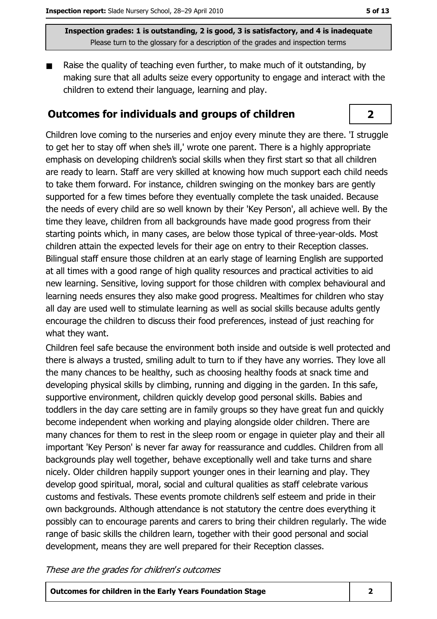Inspection grades: 1 is outstanding, 2 is good, 3 is satisfactory, and 4 is inadequate Please turn to the glossary for a description of the grades and inspection terms

Raise the quality of teaching even further, to make much of it outstanding, by making sure that all adults seize every opportunity to engage and interact with the children to extend their language, learning and play.

#### **Outcomes for individuals and groups of children**

Children love coming to the nurseries and eniov every minute they are there. 'I struggle to get her to stay off when she's ill,' wrote one parent. There is a highly appropriate emphasis on developing children's social skills when they first start so that all children are ready to learn. Staff are very skilled at knowing how much support each child needs to take them forward. For instance, children swinging on the monkey bars are gently supported for a few times before they eventually complete the task unaided. Because the needs of every child are so well known by their 'Key Person', all achieve well. By the time they leave, children from all backgrounds have made good progress from their starting points which, in many cases, are below those typical of three-year-olds. Most children attain the expected levels for their age on entry to their Reception classes. Bilingual staff ensure those children at an early stage of learning English are supported at all times with a good range of high guality resources and practical activities to aid new learning. Sensitive, loving support for those children with complex behavioural and learning needs ensures they also make good progress. Mealtimes for children who stay all day are used well to stimulate learning as well as social skills because adults gently encourage the children to discuss their food preferences, instead of just reaching for what they want.

Children feel safe because the environment both inside and outside is well protected and there is always a trusted, smiling adult to turn to if they have any worries. They love all the many chances to be healthy, such as choosing healthy foods at snack time and developing physical skills by climbing, running and digging in the garden. In this safe, supportive environment, children quickly develop good personal skills. Babies and toddlers in the day care setting are in family groups so they have great fun and quickly become independent when working and playing alongside older children. There are many chances for them to rest in the sleep room or engage in quieter play and their all important 'Key Person' is never far away for reassurance and cuddles. Children from all backgrounds play well together, behave exceptionally well and take turns and share nicely. Older children happily support younger ones in their learning and play. They develop good spiritual, moral, social and cultural qualities as staff celebrate various customs and festivals. These events promote children's self esteem and pride in their own backgrounds. Although attendance is not statutory the centre does everything it possibly can to encourage parents and carers to bring their children regularly. The wide range of basic skills the children learn, together with their good personal and social development, means they are well prepared for their Reception classes.

These are the grades for children's outcomes

**Outcomes for children in the Early Years Foundation Stage** 

 $\overline{2}$ 

 $\overline{\mathbf{2}}$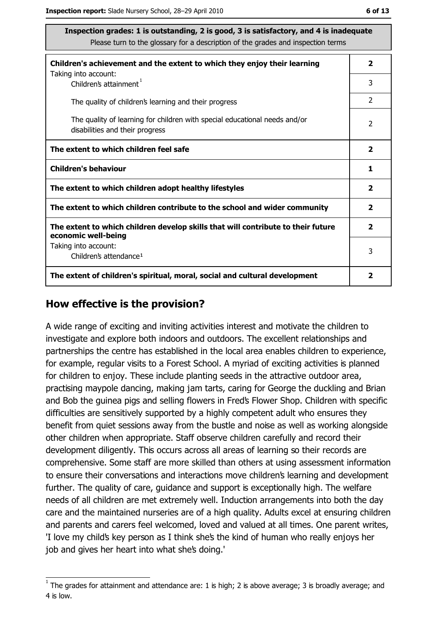| Inspection grades: 1 is outstanding, 2 is good, 3 is satisfactory, and 4 is inadequate<br>Please turn to the glossary for a description of the grades and inspection terms |                         |
|----------------------------------------------------------------------------------------------------------------------------------------------------------------------------|-------------------------|
| Children's achievement and the extent to which they enjoy their learning                                                                                                   | $\overline{\mathbf{2}}$ |
| Taking into account:<br>Children's attainment <sup>1</sup>                                                                                                                 | 3                       |
| The quality of children's learning and their progress                                                                                                                      | $\mathcal{P}$           |
| The quality of learning for children with special educational needs and/or<br>disabilities and their progress                                                              | 2                       |
| The extent to which children feel safe                                                                                                                                     | $\overline{2}$          |
| <b>Children's behaviour</b>                                                                                                                                                | 1                       |
| The extent to which children adopt healthy lifestyles                                                                                                                      | $\overline{\mathbf{2}}$ |
| The extent to which children contribute to the school and wider community                                                                                                  | $\overline{\mathbf{2}}$ |
| The extent to which children develop skills that will contribute to their future<br>economic well-being                                                                    | $\overline{2}$          |
| Taking into account:<br>Children's attendance <sup>1</sup>                                                                                                                 | 3                       |
| The extent of children's spiritual, moral, social and cultural development                                                                                                 | 2                       |

#### How effective is the provision?

A wide range of exciting and inviting activities interest and motivate the children to investigate and explore both indoors and outdoors. The excellent relationships and partnerships the centre has established in the local area enables children to experience, for example, regular visits to a Forest School. A myriad of exciting activities is planned for children to enjoy. These include planting seeds in the attractive outdoor area, practising maypole dancing, making jam tarts, caring for George the duckling and Brian and Bob the guinea pigs and selling flowers in Fred's Flower Shop. Children with specific difficulties are sensitively supported by a highly competent adult who ensures they benefit from quiet sessions away from the bustle and noise as well as working alongside other children when appropriate. Staff observe children carefully and record their development diligently. This occurs across all areas of learning so their records are comprehensive. Some staff are more skilled than others at using assessment information to ensure their conversations and interactions move children's learning and development further. The quality of care, guidance and support is exceptionally high. The welfare needs of all children are met extremely well. Induction arrangements into both the day care and the maintained nurseries are of a high quality. Adults excel at ensuring children and parents and carers feel welcomed, loved and valued at all times. One parent writes, 'I love my child's key person as I think she's the kind of human who really enjoys her job and gives her heart into what she's doing."

The grades for attainment and attendance are: 1 is high; 2 is above average; 3 is broadly average; and 4 is low.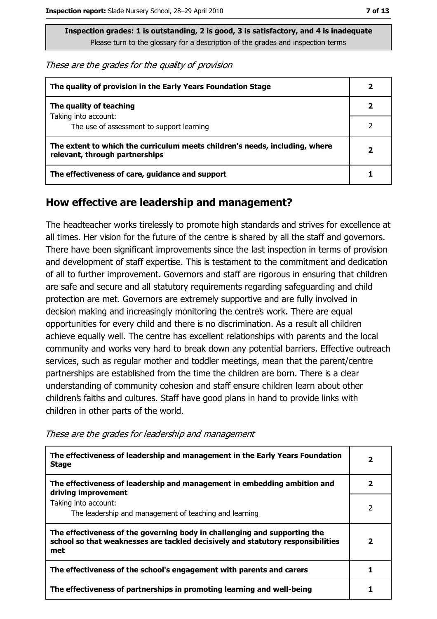Inspection grades: 1 is outstanding, 2 is good, 3 is satisfactory, and 4 is inadequate Please turn to the glossary for a description of the grades and inspection terms

These are the grades for the quality of provision

| The quality of provision in the Early Years Foundation Stage                                                  |   |
|---------------------------------------------------------------------------------------------------------------|---|
| The quality of teaching                                                                                       |   |
| Taking into account:<br>The use of assessment to support learning                                             |   |
| The extent to which the curriculum meets children's needs, including, where<br>relevant, through partnerships | 7 |
| The effectiveness of care, guidance and support                                                               |   |

#### How effective are leadership and management?

The headteacher works tirelessly to promote high standards and strives for excellence at all times. Her vision for the future of the centre is shared by all the staff and governors. There have been significant improvements since the last inspection in terms of provision and development of staff expertise. This is testament to the commitment and dedication of all to further improvement. Governors and staff are rigorous in ensuring that children are safe and secure and all statutory requirements regarding safeguarding and child protection are met. Governors are extremely supportive and are fully involved in decision making and increasingly monitoring the centre's work. There are equal opportunities for every child and there is no discrimination. As a result all children achieve equally well. The centre has excellent relationships with parents and the local community and works very hard to break down any potential barriers. Effective outreach services, such as regular mother and toddler meetings, mean that the parent/centre partnerships are established from the time the children are born. There is a clear understanding of community cohesion and staff ensure children learn about other children's faiths and cultures. Staff have good plans in hand to provide links with children in other parts of the world.

These are the grades for leadership and management

| The effectiveness of leadership and management in the Early Years Foundation<br><b>Stage</b>                                                                        | 2 |
|---------------------------------------------------------------------------------------------------------------------------------------------------------------------|---|
| The effectiveness of leadership and management in embedding ambition and<br>driving improvement                                                                     |   |
| Taking into account:<br>The leadership and management of teaching and learning                                                                                      |   |
| The effectiveness of the governing body in challenging and supporting the<br>school so that weaknesses are tackled decisively and statutory responsibilities<br>met |   |
| The effectiveness of the school's engagement with parents and carers                                                                                                |   |
| The effectiveness of partnerships in promoting learning and well-being                                                                                              |   |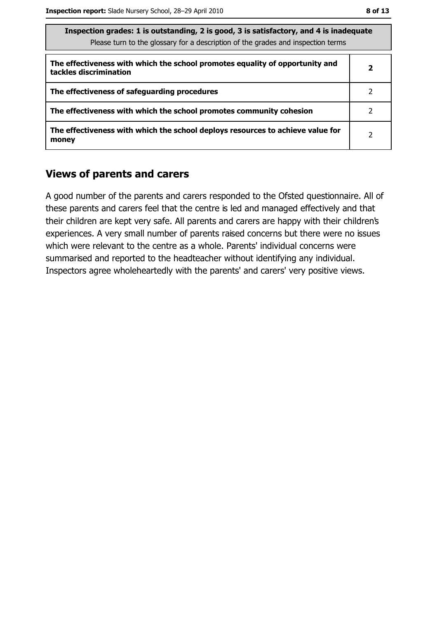| Inspection grades: I is outstanding, Z is good, S is satisfactory, and 4 is inadequate<br>Please turn to the glossary for a description of the grades and inspection terms |   |
|----------------------------------------------------------------------------------------------------------------------------------------------------------------------------|---|
| The effectiveness with which the school promotes equality of opportunity and<br>tackles discrimination                                                                     | 2 |
| The effectiveness of safeguarding procedures                                                                                                                               | 2 |
| The effectiveness with which the school promotes community cohesion                                                                                                        | 2 |
| The effectiveness with which the school deploys resources to achieve value for<br>money                                                                                    | 2 |

#### **Views of parents and carers**

A good number of the parents and carers responded to the Ofsted questionnaire. All of these parents and carers feel that the centre is led and managed effectively and that their children are kept very safe. All parents and carers are happy with their children's experiences. A very small number of parents raised concerns but there were no issues which were relevant to the centre as a whole. Parents' individual concerns were summarised and reported to the headteacher without identifying any individual. Inspectors agree wholeheartedly with the parents' and carers' very positive views.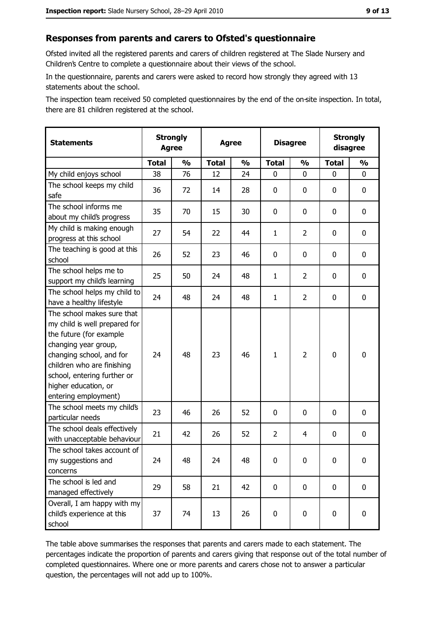#### Responses from parents and carers to Ofsted's questionnaire

Ofsted invited all the registered parents and carers of children registered at The Slade Nursery and Children's Centre to complete a questionnaire about their views of the school.

In the questionnaire, parents and carers were asked to record how strongly they agreed with 13 statements about the school.

The inspection team received 50 completed questionnaires by the end of the on-site inspection. In total, there are 81 children registered at the school.

| <b>Statements</b>                                                                                                                                                                                                                                       | <b>Strongly</b><br><b>Agree</b> |               | <b>Agree</b> |               | <b>Disagree</b> |                | <b>Strongly</b><br>disagree |               |
|---------------------------------------------------------------------------------------------------------------------------------------------------------------------------------------------------------------------------------------------------------|---------------------------------|---------------|--------------|---------------|-----------------|----------------|-----------------------------|---------------|
|                                                                                                                                                                                                                                                         | <b>Total</b>                    | $\frac{1}{2}$ | <b>Total</b> | $\frac{0}{0}$ | <b>Total</b>    | $\frac{0}{0}$  | <b>Total</b>                | $\frac{1}{2}$ |
| My child enjoys school                                                                                                                                                                                                                                  | 38                              | 76            | 12           | 24            | $\mathbf 0$     | 0              | 0                           | 0             |
| The school keeps my child<br>safe                                                                                                                                                                                                                       | 36                              | 72            | 14           | 28            | $\mathbf 0$     | 0              | 0                           | 0             |
| The school informs me<br>about my child's progress                                                                                                                                                                                                      | 35                              | 70            | 15           | 30            | $\mathbf 0$     | 0              | 0                           | 0             |
| My child is making enough<br>progress at this school                                                                                                                                                                                                    | 27                              | 54            | 22           | 44            | $\mathbf{1}$    | 2              | 0                           | 0             |
| The teaching is good at this<br>school                                                                                                                                                                                                                  | 26                              | 52            | 23           | 46            | 0               | 0              | 0                           | 0             |
| The school helps me to<br>support my child's learning                                                                                                                                                                                                   | 25                              | 50            | 24           | 48            | $\mathbf{1}$    | $\overline{2}$ | 0                           | $\mathbf 0$   |
| The school helps my child to<br>have a healthy lifestyle                                                                                                                                                                                                | 24                              | 48            | 24           | 48            | $\mathbf{1}$    | $\overline{2}$ | 0                           | $\mathbf 0$   |
| The school makes sure that<br>my child is well prepared for<br>the future (for example<br>changing year group,<br>changing school, and for<br>children who are finishing<br>school, entering further or<br>higher education, or<br>entering employment) | 24                              | 48            | 23           | 46            | $\mathbf{1}$    | $\overline{2}$ | 0                           | $\bf{0}$      |
| The school meets my child's<br>particular needs                                                                                                                                                                                                         | 23                              | 46            | 26           | 52            | $\mathbf 0$     | 0              | $\Omega$                    | $\bf{0}$      |
| The school deals effectively<br>with unacceptable behaviour                                                                                                                                                                                             | 21                              | 42            | 26           | 52            | $\overline{2}$  | 4              | $\mathbf 0$                 | $\mathbf 0$   |
| The school takes account of<br>my suggestions and<br>concerns                                                                                                                                                                                           | 24                              | 48            | 24           | 48            | $\mathbf 0$     | 0              | 0                           | $\bf{0}$      |
| The school is led and<br>managed effectively                                                                                                                                                                                                            | 29                              | 58            | 21           | 42            | $\mathbf 0$     | 0              | $\mathbf 0$                 | 0             |
| Overall, I am happy with my<br>child's experience at this<br>school                                                                                                                                                                                     | 37                              | 74            | 13           | 26            | $\pmb{0}$       | 0              | 0                           | 0             |

The table above summarises the responses that parents and carers made to each statement. The percentages indicate the proportion of parents and carers giving that response out of the total number of completed questionnaires. Where one or more parents and carers chose not to answer a particular question, the percentages will not add up to 100%.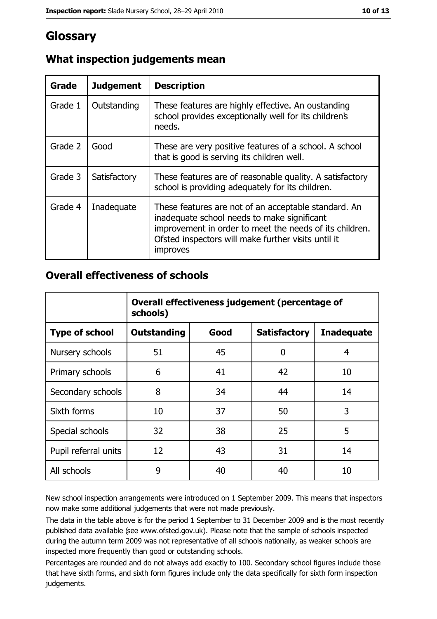## Glossary

| Grade   | <b>Judgement</b> | <b>Description</b>                                                                                                                                                                                                                       |
|---------|------------------|------------------------------------------------------------------------------------------------------------------------------------------------------------------------------------------------------------------------------------------|
| Grade 1 | Outstanding      | These features are highly effective. An oustanding<br>school provides exceptionally well for its children's<br>needs.                                                                                                                    |
| Grade 2 | Good             | These are very positive features of a school. A school<br>that is good is serving its children well.                                                                                                                                     |
| Grade 3 | Satisfactory     | These features are of reasonable quality. A satisfactory<br>school is providing adequately for its children.                                                                                                                             |
| Grade 4 | Inadequate       | These features are not of an acceptable standard. An<br>inadequate school needs to make significant<br>improvement in order to meet the needs of its children.<br>Ofsted inspectors will make further visits until it<br><i>improves</i> |

### What inspection judgements mean

#### **Overall effectiveness of schools**

|                       | Overall effectiveness judgement (percentage of<br>schools) |      |                     |                   |
|-----------------------|------------------------------------------------------------|------|---------------------|-------------------|
| <b>Type of school</b> | <b>Outstanding</b>                                         | Good | <b>Satisfactory</b> | <b>Inadequate</b> |
| Nursery schools       | 51                                                         | 45   | 0                   | 4                 |
| Primary schools       | 6                                                          | 41   | 42                  | 10                |
| Secondary schools     | 8                                                          | 34   | 44                  | 14                |
| Sixth forms           | 10                                                         | 37   | 50                  | 3                 |
| Special schools       | 32                                                         | 38   | 25                  | 5                 |
| Pupil referral units  | 12                                                         | 43   | 31                  | 14                |
| All schools           | 9                                                          | 40   | 40                  | 10                |

New school inspection arrangements were introduced on 1 September 2009. This means that inspectors now make some additional judgements that were not made previously.

The data in the table above is for the period 1 September to 31 December 2009 and is the most recently published data available (see www.ofsted.gov.uk). Please note that the sample of schools inspected during the autumn term 2009 was not representative of all schools nationally, as weaker schools are inspected more frequently than good or outstanding schools.

Percentages are rounded and do not always add exactly to 100. Secondary school figures include those that have sixth forms, and sixth form figures include only the data specifically for sixth form inspection judgements.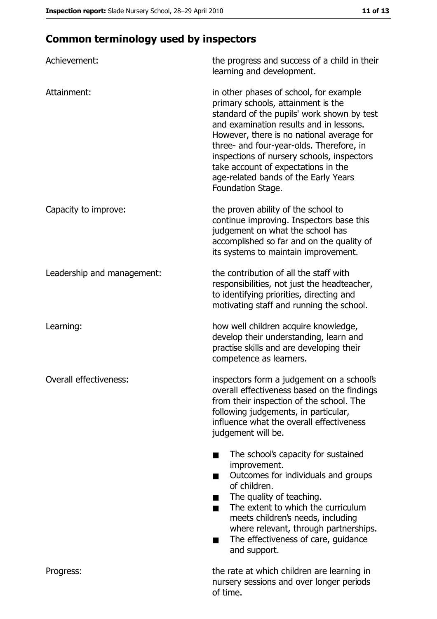## **Common terminology used by inspectors**

| Achievement:               | the progress and success of a child in their<br>learning and development.                                                                                                                                                                                                                                                                                                                                        |
|----------------------------|------------------------------------------------------------------------------------------------------------------------------------------------------------------------------------------------------------------------------------------------------------------------------------------------------------------------------------------------------------------------------------------------------------------|
| Attainment:                | in other phases of school, for example<br>primary schools, attainment is the<br>standard of the pupils' work shown by test<br>and examination results and in lessons.<br>However, there is no national average for<br>three- and four-year-olds. Therefore, in<br>inspections of nursery schools, inspectors<br>take account of expectations in the<br>age-related bands of the Early Years<br>Foundation Stage. |
| Capacity to improve:       | the proven ability of the school to<br>continue improving. Inspectors base this<br>judgement on what the school has<br>accomplished so far and on the quality of<br>its systems to maintain improvement.                                                                                                                                                                                                         |
| Leadership and management: | the contribution of all the staff with<br>responsibilities, not just the headteacher,<br>to identifying priorities, directing and<br>motivating staff and running the school.                                                                                                                                                                                                                                    |
| Learning:                  | how well children acquire knowledge,<br>develop their understanding, learn and<br>practise skills and are developing their<br>competence as learners.                                                                                                                                                                                                                                                            |
| Overall effectiveness:     | inspectors form a judgement on a school's<br>overall effectiveness based on the findings<br>from their inspection of the school. The<br>following judgements, in particular,<br>influence what the overall effectiveness<br>judgement will be.                                                                                                                                                                   |
|                            | The school's capacity for sustained<br>improvement.<br>Outcomes for individuals and groups<br>of children.<br>The quality of teaching.<br>The extent to which the curriculum<br>٠<br>meets children's needs, including<br>where relevant, through partnerships.<br>The effectiveness of care, guidance<br>and support.                                                                                           |
| Progress:                  | the rate at which children are learning in<br>nursery sessions and over longer periods<br>of time.                                                                                                                                                                                                                                                                                                               |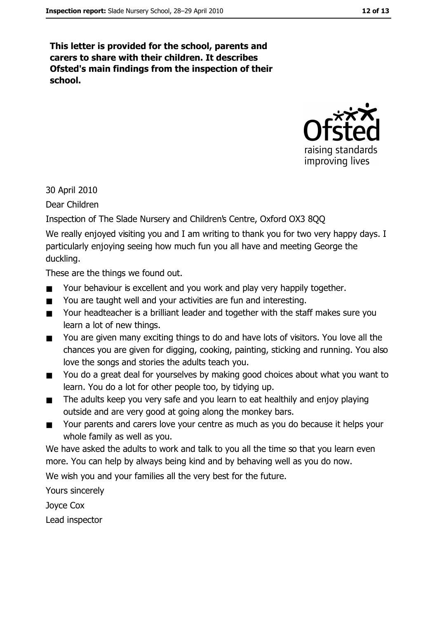This letter is provided for the school, parents and carers to share with their children. It describes Ofsted's main findings from the inspection of their school.



30 April 2010

Dear Children

Inspection of The Slade Nursery and Children's Centre, Oxford OX3 8QQ

We really enjoyed visiting you and I am writing to thank you for two very happy days. I particularly enjoying seeing how much fun you all have and meeting George the duckling.

These are the things we found out.

- Your behaviour is excellent and you work and play very happily together.  $\blacksquare$
- You are taught well and your activities are fun and interesting.  $\blacksquare$
- Your headteacher is a brilliant leader and together with the staff makes sure you  $\blacksquare$ learn a lot of new things.
- You are given many exciting things to do and have lots of visitors. You love all the  $\blacksquare$ chances you are given for digging, cooking, painting, sticking and running. You also love the songs and stories the adults teach you.
- You do a great deal for vourselves by making good choices about what you want to  $\blacksquare$ learn. You do a lot for other people too, by tidying up.
- The adults keep you very safe and you learn to eat healthily and enjoy playing  $\blacksquare$ outside and are very good at going along the monkey bars.
- Your parents and carers love your centre as much as you do because it helps your  $\blacksquare$ whole family as well as you.

We have asked the adults to work and talk to you all the time so that you learn even more. You can help by always being kind and by behaving well as you do now.

We wish you and your families all the very best for the future.

Yours sincerely

Joyce Cox

Lead inspector